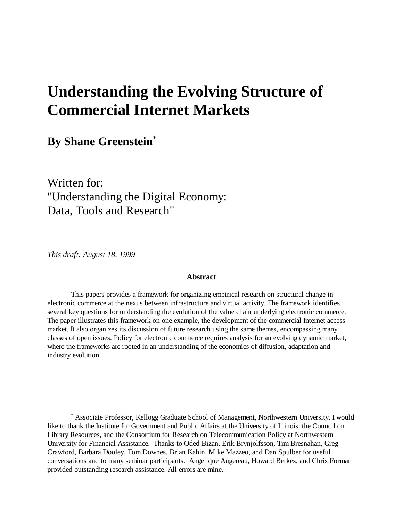# **Understanding the Evolving Structure of Commercial Internet Markets**

# **By Shane Greenstein\***

Written for: "Understanding the Digital Economy: Data, Tools and Research"

*This draft: August 18, 1999*

#### **Abstract**

This papers provides a framework for organizing empirical research on structural change in electronic commerce at the nexus between infrastructure and virtual activity. The framework identifies several key questions for understanding the evolution of the value chain underlying electronic commerce. The paper illustrates this framework on one example, the development of the commercial Internet access market. It also organizes its discussion of future research using the same themes, encompassing many classes of open issues. Policy for electronic commerce requires analysis for an evolving dynamic market, where the frameworks are rooted in an understanding of the economics of diffusion, adaptation and industry evolution.

<sup>\*</sup> Associate Professor, Kellogg Graduate School of Management, Northwestern University. I would like to thank the Institute for Government and Public Affairs at the University of Illinois, the Council on Library Resources, and the Consortium for Research on Telecommunication Policy at Northwestern University for Financial Assistance. Thanks to Oded Bizan, Erik Brynjolfsson, Tim Bresnahan, Greg Crawford, Barbara Dooley, Tom Downes, Brian Kahin, Mike Mazzeo, and Dan Spulber for useful conversations and to many seminar participants. Angelique Augereau, Howard Berkes, and Chris Forman provided outstanding research assistance. All errors are mine.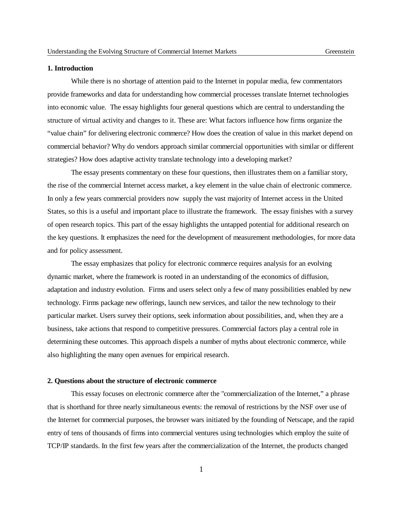#### **1. Introduction**

While there is no shortage of attention paid to the Internet in popular media, few commentators provide frameworks and data for understanding how commercial processes translate Internet technologies into economic value. The essay highlights four general questions which are central to understanding the structure of virtual activity and changes to it. These are: What factors influence how firms organize the "value chain" for delivering electronic commerce? How does the creation of value in this market depend on commercial behavior? Why do vendors approach similar commercial opportunities with similar or different strategies? How does adaptive activity translate technology into a developing market?

The essay presents commentary on these four questions, then illustrates them on a familiar story, the rise of the commercial Internet access market, a key element in the value chain of electronic commerce. In only a few years commercial providers now supply the vast majority of Internet access in the United States, so this is a useful and important place to illustrate the framework. The essay finishes with a survey of open research topics. This part of the essay highlights the untapped potential for additional research on the key questions. It emphasizes the need for the development of measurement methodologies, for more data and for policy assessment.

The essay emphasizes that policy for electronic commerce requires analysis for an evolving dynamic market, where the framework is rooted in an understanding of the economics of diffusion, adaptation and industry evolution. Firms and users select only a few of many possibilities enabled by new technology. Firms package new offerings, launch new services, and tailor the new technology to their particular market. Users survey their options, seek information about possibilities, and, when they are a business, take actions that respond to competitive pressures. Commercial factors play a central role in determining these outcomes. This approach dispels a number of myths about electronic commerce, while also highlighting the many open avenues for empirical research.

#### **2. Questions about the structure of electronic commerce**

This essay focuses on electronic commerce after the "commercialization of the Internet," a phrase that is shorthand for three nearly simultaneous events: the removal of restrictions by the NSF over use of the Internet for commercial purposes, the browser wars initiated by the founding of Netscape, and the rapid entry of tens of thousands of firms into commercial ventures using technologies which employ the suite of TCP/IP standards. In the first few years after the commercialization of the Internet, the products changed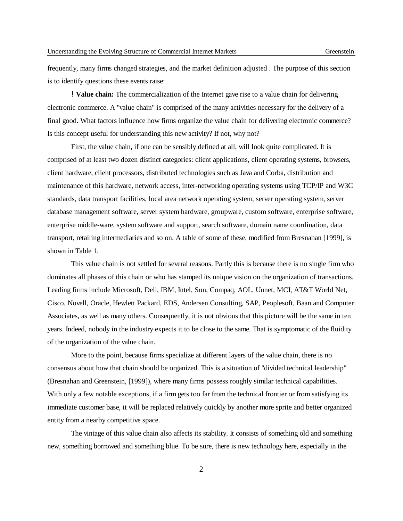frequently, many firms changed strategies, and the market definition adjusted . The purpose of this section is to identify questions these events raise:

!**Value chain:** The commercialization of the Internet gave rise to a value chain for delivering electronic commerce. A "value chain" is comprised of the many activities necessary for the delivery of a final good. What factors influence how firms organize the value chain for delivering electronic commerce? Is this concept useful for understanding this new activity? If not, why not?

First, the value chain, if one can be sensibly defined at all, will look quite complicated. It is comprised of at least two dozen distinct categories: client applications, client operating systems, browsers, client hardware, client processors, distributed technologies such as Java and Corba, distribution and maintenance of this hardware, network access, inter-networking operating systems using TCP/IP and W3C standards, data transport facilities, local area network operating system, server operating system, server database management software, server system hardware, groupware, custom software, enterprise software, enterprise middle-ware, system software and support, search software, domain name coordination, data transport, retailing intermediaries and so on. A table of some of these, modified from Bresnahan [1999], is shown in Table 1.

This value chain is not settled for several reasons. Partly this is because there is no single firm who dominates all phases of this chain or who has stamped its unique vision on the organization of transactions. Leading firms include Microsoft, Dell, IBM, Intel, Sun, Compaq, AOL, Uunet, MCI, AT&T World Net, Cisco, Novell, Oracle, Hewlett Packard, EDS, Andersen Consulting, SAP, Peoplesoft, Baan and Computer Associates, as well as many others. Consequently, it is not obvious that this picture will be the same in ten years. Indeed, nobody in the industry expects it to be close to the same. That is symptomatic of the fluidity of the organization of the value chain.

More to the point, because firms specialize at different layers of the value chain, there is no consensus about how that chain should be organized. This is a situation of "divided technical leadership" (Bresnahan and Greenstein, [1999]), where many firms possess roughly similar technical capabilities. With only a few notable exceptions, if a firm gets too far from the technical frontier or from satisfying its immediate customer base, it will be replaced relatively quickly by another more sprite and better organized entity from a nearby competitive space.

The vintage of this value chain also affects its stability. It consists of something old and something new, something borrowed and something blue. To be sure, there is new technology here, especially in the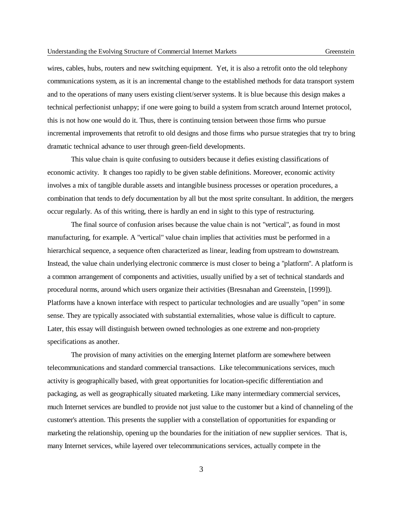wires, cables, hubs, routers and new switching equipment. Yet, it is also a retrofit onto the old telephony communications system, as it is an incremental change to the established methods for data transport system and to the operations of many users existing client/server systems. It is blue because this design makes a technical perfectionist unhappy; if one were going to build a system from scratch around Internet protocol, this is not how one would do it. Thus, there is continuing tension between those firms who pursue incremental improvements that retrofit to old designs and those firms who pursue strategies that try to bring dramatic technical advance to user through green-field developments.

This value chain is quite confusing to outsiders because it defies existing classifications of economic activity. It changes too rapidly to be given stable definitions. Moreover, economic activity involves a mix of tangible durable assets and intangible business processes or operation procedures, a combination that tends to defy documentation by all but the most sprite consultant. In addition, the mergers occur regularly. As of this writing, there is hardly an end in sight to this type of restructuring.

The final source of confusion arises because the value chain is not "vertical", as found in most manufacturing, for example. A "vertical" value chain implies that activities must be performed in a hierarchical sequence, a sequence often characterized as linear, leading from upstream to downstream. Instead, the value chain underlying electronic commerce is must closer to being a "platform". A platform is a common arrangement of components and activities, usually unified by a set of technical standards and procedural norms, around which users organize their activities (Bresnahan and Greenstein, [1999]). Platforms have a known interface with respect to particular technologies and are usually "open" in some sense. They are typically associated with substantial externalities, whose value is difficult to capture. Later, this essay will distinguish between owned technologies as one extreme and non-propriety specifications as another.

The provision of many activities on the emerging Internet platform are somewhere between telecommunications and standard commercial transactions. Like telecommunications services, much activity is geographically based, with great opportunities for location-specific differentiation and packaging, as well as geographically situated marketing. Like many intermediary commercial services, much Internet services are bundled to provide not just value to the customer but a kind of channeling of the customer's attention. This presents the supplier with a constellation of opportunities for expanding or marketing the relationship, opening up the boundaries for the initiation of new supplier services. That is, many Internet services, while layered over telecommunications services, actually compete in the

3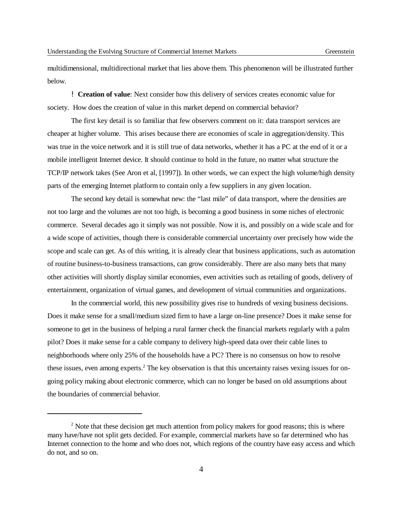multidimensional, multidirectional market that lies above them. This phenomenon will be illustrated further below.

! **Creation of value**: Next consider how this delivery of services creates economic value for society. How does the creation of value in this market depend on commercial behavior?

The first key detail is so familiar that few observers comment on it: data transport services are cheaper at higher volume. This arises because there are economies of scale in aggregation/density. This was true in the voice network and it is still true of data networks, whether it has a PC at the end of it or a mobile intelligent Internet device. It should continue to hold in the future, no matter what structure the TCP/IP network takes (See Aron et al, [1997]). In other words, we can expect the high volume/high density parts of the emerging Internet platform to contain only a few suppliers in any given location.

The second key detail is somewhat new: the "last mile" of data transport, where the densities are not too large and the volumes are not too high, is becoming a good business in some niches of electronic commerce. Several decades ago it simply was not possible. Now it is, and possibly on a wide scale and for a wide scope of activities, though there is considerable commercial uncertainty over precisely how wide the scope and scale can get. As of this writing, it is already clear that business applications, such as automation of routine business-to-business transactions, can grow considerably. There are also many bets that many other activities will shortly display similar economies, even activities such as retailing of goods, delivery of entertainment, organization of virtual games, and development of virtual communities and organizations.

In the commercial world, this new possibility gives rise to hundreds of vexing business decisions. Does it make sense for a small/medium sized firm to have a large on-line presence? Does it make sense for someone to get in the business of helping a rural farmer check the financial markets regularly with a palm pilot? Does it make sense for a cable company to delivery high-speed data over their cable lines to neighborhoods where only 25% of the households have a PC? There is no consensus on how to resolve these issues, even among experts.<sup>2</sup> The key observation is that this uncertainty raises vexing issues for ongoing policy making about electronic commerce, which can no longer be based on old assumptions about the boundaries of commercial behavior.

 $2$  Note that these decision get much attention from policy makers for good reasons; this is where many have/have not split gets decided. For example, commercial markets have so far determined who has Internet connection to the home and who does not, which regions of the country have easy access and which do not, and so on.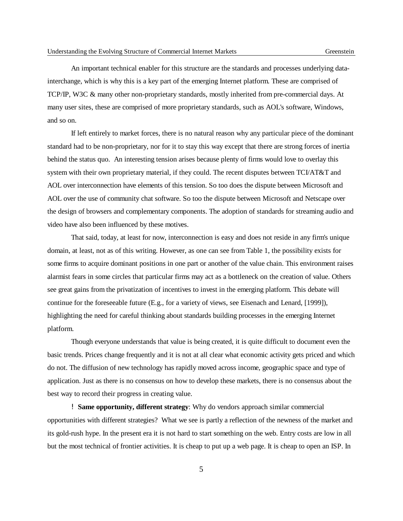An important technical enabler for this structure are the standards and processes underlying datainterchange, which is why this is a key part of the emerging Internet platform. These are comprised of TCP/IP, W3C & many other non-proprietary standards, mostly inherited from pre-commercial days. At many user sites, these are comprised of more proprietary standards, such as AOL's software, Windows, and so on.

If left entirely to market forces, there is no natural reason why any particular piece of the dominant standard had to be non-proprietary, nor for it to stay this way except that there are strong forces of inertia behind the status quo. An interesting tension arises because plenty of firms would love to overlay this system with their own proprietary material, if they could. The recent disputes between TCI/AT&T and AOL over interconnection have elements of this tension. So too does the dispute between Microsoft and AOL over the use of community chat software. So too the dispute between Microsoft and Netscape over the design of browsers and complementary components. The adoption of standards for streaming audio and video have also been influenced by these motives.

That said, today, at least for now, interconnection is easy and does not reside in any firm's unique domain, at least, not as of this writing. However, as one can see from Table 1, the possibility exists for some firms to acquire dominant positions in one part or another of the value chain. This environment raises alarmist fears in some circles that particular firms may act as a bottleneck on the creation of value. Others see great gains from the privatization of incentives to invest in the emerging platform. This debate will continue for the foreseeable future (E.g., for a variety of views, see Eisenach and Lenard, [1999]), highlighting the need for careful thinking about standards building processes in the emerging Internet platform.

Though everyone understands that value is being created, it is quite difficult to document even the basic trends. Prices change frequently and it is not at all clear what economic activity gets priced and which do not. The diffusion of new technology has rapidly moved across income, geographic space and type of application. Just as there is no consensus on how to develop these markets, there is no consensus about the best way to record their progress in creating value.

! **Same opportunity, different strategy**: Why do vendors approach similar commercial opportunities with different strategies? What we see is partly a reflection of the newness of the market and its gold-rush hype. In the present era it is not hard to start something on the web. Entry costs are low in all but the most technical of frontier activities. It is cheap to put up a web page. It is cheap to open an ISP. In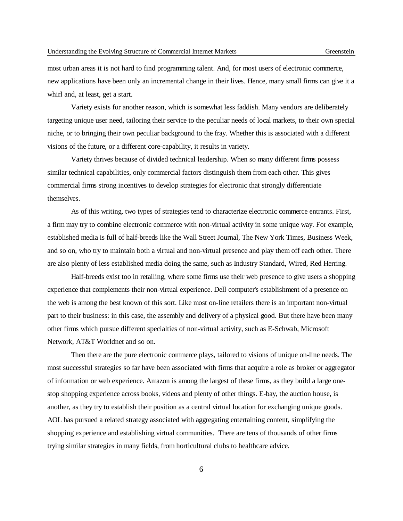most urban areas it is not hard to find programming talent. And, for most users of electronic commerce, new applications have been only an incremental change in their lives. Hence, many small firms can give it a whirl and, at least, get a start.

Variety exists for another reason, which is somewhat less faddish. Many vendors are deliberately targeting unique user need, tailoring their service to the peculiar needs of local markets, to their own special niche, or to bringing their own peculiar background to the fray. Whether this is associated with a different visions of the future, or a different core-capability, it results in variety.

Variety thrives because of divided technical leadership. When so many different firms possess similar technical capabilities, only commercial factors distinguish them from each other. This gives commercial firms strong incentives to develop strategies for electronic that strongly differentiate themselves.

As of this writing, two types of strategies tend to characterize electronic commerce entrants. First, a firm may try to combine electronic commerce with non-virtual activity in some unique way. For example, established media is full of half-breeds like the Wall Street Journal, The New York Times, Business Week, and so on, who try to maintain both a virtual and non-virtual presence and play them off each other. There are also plenty of less established media doing the same, such as Industry Standard, Wired, Red Herring.

Half-breeds exist too in retailing, where some firms use their web presence to give users a shopping experience that complements their non-virtual experience. Dell computer's establishment of a presence on the web is among the best known of this sort. Like most on-line retailers there is an important non-virtual part to their business: in this case, the assembly and delivery of a physical good. But there have been many other firms which pursue different specialties of non-virtual activity, such as E-Schwab, Microsoft Network, AT&T Worldnet and so on.

Then there are the pure electronic commerce plays, tailored to visions of unique on-line needs. The most successful strategies so far have been associated with firms that acquire a role as broker or aggregator of information or web experience. Amazon is among the largest of these firms, as they build a large onestop shopping experience across books, videos and plenty of other things. E-bay, the auction house, is another, as they try to establish their position as a central virtual location for exchanging unique goods. AOL has pursued a related strategy associated with aggregating entertaining content, simplifying the shopping experience and establishing virtual communities. There are tens of thousands of other firms trying similar strategies in many fields, from horticultural clubs to healthcare advice.

6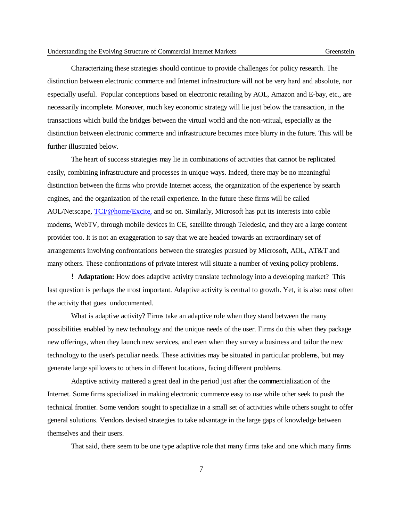Characterizing these strategies should continue to provide challenges for policy research. The distinction between electronic commerce and Internet infrastructure will not be very hard and absolute, nor especially useful. Popular conceptions based on electronic retailing by AOL, Amazon and E-bay, etc., are necessarily incomplete. Moreover, much key economic strategy will lie just below the transaction, in the transactions which build the bridges between the virtual world and the non-vritual, especially as the distinction between electronic commerce and infrastructure becomes more blurry in the future. This will be further illustrated below.

The heart of success strategies may lie in combinations of activities that cannot be replicated easily, combining infrastructure and processes in unique ways. Indeed, there may be no meaningful distinction between the firms who provide Internet access, the organization of the experience by search engines, and the organization of the retail experience. In the future these firms will be called AOL/Netscape, TCI/@home/Excite, and so on. Similarly, Microsoft has put its interests into cable modems, WebTV, through mobile devices in CE, satellite through Teledesic, and they are a large content provider too. It is not an exaggeration to say that we are headed towards an extraordinary set of arrangements involving confrontations between the strategies pursued by Microsoft, AOL, AT&T and many others. These confrontations of private interest will situate a number of vexing policy problems.

! **Adaptation:** How does adaptive activity translate technology into a developing market? This last question is perhaps the most important. Adaptive activity is central to growth. Yet, it is also most often the activity that goes undocumented.

What is adaptive activity? Firms take an adaptive role when they stand between the many possibilities enabled by new technology and the unique needs of the user. Firms do this when they package new offerings, when they launch new services, and even when they survey a business and tailor the new technology to the user's peculiar needs. These activities may be situated in particular problems, but may generate large spillovers to others in different locations, facing different problems.

Adaptive activity mattered a great deal in the period just after the commercialization of the Internet. Some firms specialized in making electronic commerce easy to use while other seek to push the technical frontier. Some vendors sought to specialize in a small set of activities while others sought to offer general solutions. Vendors devised strategies to take advantage in the large gaps of knowledge between themselves and their users.

That said, there seem to be one type adaptive role that many firms take and one which many firms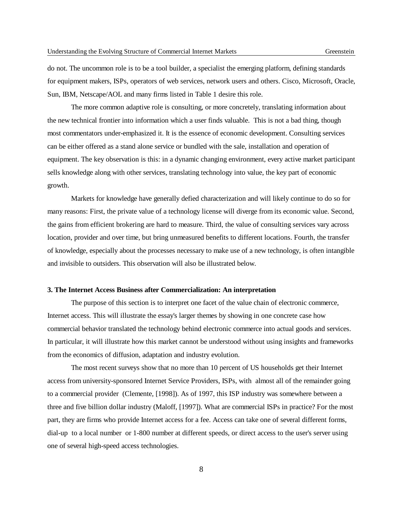do not. The uncommon role is to be a tool builder, a specialist the emerging platform, defining standards for equipment makers, ISPs, operators of web services, network users and others. Cisco, Microsoft, Oracle, Sun, IBM, Netscape/AOL and many firms listed in Table 1 desire this role.

The more common adaptive role is consulting, or more concretely, translating information about the new technical frontier into information which a user finds valuable. This is not a bad thing, though most commentators under-emphasized it. It is the essence of economic development. Consulting services can be either offered as a stand alone service or bundled with the sale, installation and operation of equipment. The key observation is this: in a dynamic changing environment, every active market participant sells knowledge along with other services, translating technology into value, the key part of economic growth.

Markets for knowledge have generally defied characterization and will likely continue to do so for many reasons: First, the private value of a technology license will diverge from its economic value. Second, the gains from efficient brokering are hard to measure. Third, the value of consulting services vary across location, provider and over time, but bring unmeasured benefits to different locations. Fourth, the transfer of knowledge, especially about the processes necessary to make use of a new technology, is often intangible and invisible to outsiders. This observation will also be illustrated below.

#### **3. The Internet Access Business after Commercialization: An interpretation**

The purpose of this section is to interpret one facet of the value chain of electronic commerce, Internet access. This will illustrate the essay's larger themes by showing in one concrete case how commercial behavior translated the technology behind electronic commerce into actual goods and services. In particular, it will illustrate how this market cannot be understood without using insights and frameworks from the economics of diffusion, adaptation and industry evolution.

The most recent surveys show that no more than 10 percent of US households get their Internet access from university-sponsored Internet Service Providers, ISPs, with almost all of the remainder going to a commercial provider (Clemente, [1998]). As of 1997, this ISP industry was somewhere between a three and five billion dollar industry (Maloff, [1997]). What are commercial ISPs in practice? For the most part, they are firms who provide Internet access for a fee. Access can take one of several different forms, dial-up to a local number or 1-800 number at different speeds, or direct access to the user's server using one of several high-speed access technologies.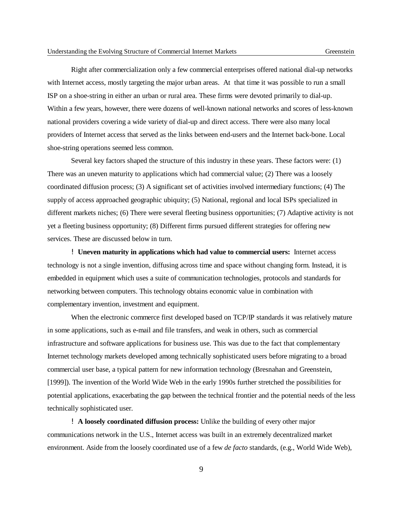Right after commercialization only a few commercial enterprises offered national dial-up networks with Internet access, mostly targeting the major urban areas. At that time it was possible to run a small ISP on a shoe-string in either an urban or rural area. These firms were devoted primarily to dial-up. Within a few years, however, there were dozens of well-known national networks and scores of less-known national providers covering a wide variety of dial-up and direct access. There were also many local providers of Internet access that served as the links between end-users and the Internet back-bone. Local shoe-string operations seemed less common.

Several key factors shaped the structure of this industry in these years. These factors were: (1) There was an uneven maturity to applications which had commercial value; (2) There was a loosely coordinated diffusion process; (3) A significant set of activities involved intermediary functions; (4) The supply of access approached geographic ubiquity; (5) National, regional and local ISPs specialized in different markets niches; (6) There were several fleeting business opportunities; (7) Adaptive activity is not yet a fleeting business opportunity; (8) Different firms pursued different strategies for offering new services. These are discussed below in turn.

! **Uneven maturity in applications which had value to commercial users:** Internet access technology is not a single invention, diffusing across time and space without changing form. Instead, it is embedded in equipment which uses a suite of communication technologies, protocols and standards for networking between computers. This technology obtains economic value in combination with complementary invention, investment and equipment.

When the electronic commerce first developed based on TCP/IP standards it was relatively mature in some applications, such as e-mail and file transfers, and weak in others, such as commercial infrastructure and software applications for business use. This was due to the fact that complementary Internet technology markets developed among technically sophisticated users before migrating to a broad commercial user base, a typical pattern for new information technology (Bresnahan and Greenstein, [1999]). The invention of the World Wide Web in the early 1990s further stretched the possibilities for potential applications, exacerbating the gap between the technical frontier and the potential needs of the less technically sophisticated user.

! **A loosely coordinated diffusion process:** Unlike the building of every other major communications network in the U.S., Internet access was built in an extremely decentralized market environment. Aside from the loosely coordinated use of a few *de facto* standards, (e.g., World Wide Web),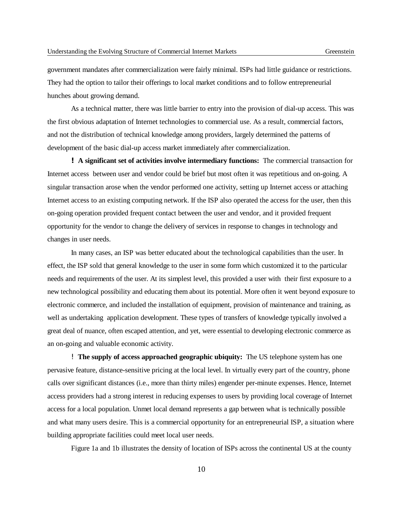government mandates after commercialization were fairly minimal. ISPs had little guidance or restrictions. They had the option to tailor their offerings to local market conditions and to follow entrepreneurial hunches about growing demand.

As a technical matter, there was little barrier to entry into the provision of dial-up access. This was the first obvious adaptation of Internet technologies to commercial use. As a result, commercial factors, and not the distribution of technical knowledge among providers, largely determined the patterns of development of the basic dial-up access market immediately after commercialization.

**! A significant set of activities involve intermediary functions:** The commercial transaction for Internet access between user and vendor could be brief but most often it was repetitious and on-going. A singular transaction arose when the vendor performed one activity, setting up Internet access or attaching Internet access to an existing computing network. If the ISP also operated the access for the user, then this on-going operation provided frequent contact between the user and vendor, and it provided frequent opportunity for the vendor to change the delivery of services in response to changes in technology and changes in user needs.

In many cases, an ISP was better educated about the technological capabilities than the user. In effect, the ISP sold that general knowledge to the user in some form which customized it to the particular needs and requirements of the user. At its simplest level, this provided a user with their first exposure to a new technological possibility and educating them about its potential. More often it went beyond exposure to electronic commerce, and included the installation of equipment, provision of maintenance and training, as well as undertaking application development. These types of transfers of knowledge typically involved a great deal of nuance, often escaped attention, and yet, were essential to developing electronic commerce as an on-going and valuable economic activity.

! **The supply of access approached geographic ubiquity:** The US telephone system has one pervasive feature, distance-sensitive pricing at the local level. In virtually every part of the country, phone calls over significant distances (i.e., more than thirty miles) engender per-minute expenses. Hence, Internet access providers had a strong interest in reducing expenses to users by providing local coverage of Internet access for a local population. Unmet local demand represents a gap between what is technically possible and what many users desire. This is a commercial opportunity for an entrepreneurial ISP, a situation where building appropriate facilities could meet local user needs.

Figure 1a and 1b illustrates the density of location of ISPs across the continental US at the county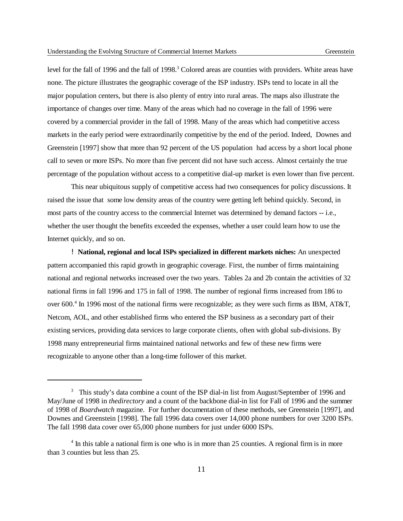level for the fall of 1996 and the fall of 1998.<sup>3</sup> Colored areas are counties with providers. White areas have none. The picture illustrates the geographic coverage of the ISP industry. ISPs tend to locate in all the major population centers, but there is also plenty of entry into rural areas. The maps also illustrate the importance of changes over time. Many of the areas which had no coverage in the fall of 1996 were covered by a commercial provider in the fall of 1998. Many of the areas which had competitive access markets in the early period were extraordinarily competitive by the end of the period. Indeed, Downes and Greenstein [1997] show that more than 92 percent of the US population had access by a short local phone call to seven or more ISPs. No more than five percent did not have such access. Almost certainly the true percentage of the population without access to a competitive dial-up market is even lower than five percent.

This near ubiquitous supply of competitive access had two consequences for policy discussions. It raised the issue that some low density areas of the country were getting left behind quickly. Second, in most parts of the country access to the commercial Internet was determined by demand factors -- i.e., whether the user thought the benefits exceeded the expenses, whether a user could learn how to use the Internet quickly, and so on.

! **National, regional and local ISPs specialized in different markets niches:** An unexpected pattern accompanied this rapid growth in geographic coverage. First, the number of firms maintaining national and regional networks increased over the two years. Tables 2a and 2b contain the activities of 32 national firms in fall 1996 and 175 in fall of 1998. The number of regional firms increased from 186 to over 600.<sup>4</sup> In 1996 most of the national firms were recognizable; as they were such firms as IBM, AT&T, Netcom, AOL, and other established firms who entered the ISP business as a secondary part of their existing services, providing data services to large corporate clients, often with global sub-divisions. By 1998 many entrepreneurial firms maintained national networks and few of these new firms were recognizable to anyone other than a long-time follower of this market.

 $3$  This study's data combine a count of the ISP dial-in list from August/September of 1996 and May/June of 1998 in *thedirectory* and a count of the backbone dial-in list for Fall of 1996 and the summer of 1998 of *Boardwatch* magazine. For further documentation of these methods, see Greenstein [1997], and Downes and Greenstein [1998]. The fall 1996 data covers over 14,000 phone numbers for over 3200 ISPs. The fall 1998 data cover over 65,000 phone numbers for just under 6000 ISPs.

<sup>&</sup>lt;sup>4</sup> In this table a national firm is one who is in more than 25 counties. A regional firm is in more than 3 counties but less than 25.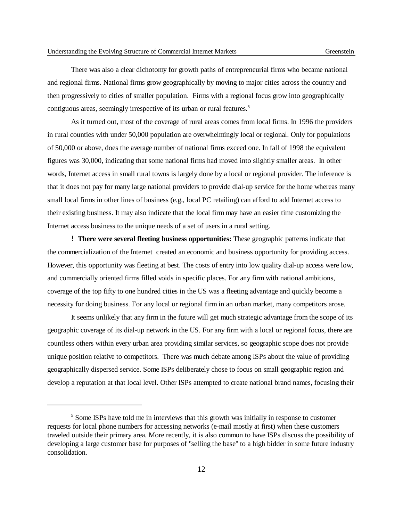There was also a clear dichotomy for growth paths of entrepreneurial firms who became national and regional firms. National firms grow geographically by moving to major cities across the country and then progressively to cities of smaller population. Firms with a regional focus grow into geographically contiguous areas, seemingly irrespective of its urban or rural features.<sup>5</sup>

As it turned out, most of the coverage of rural areas comes from local firms. In 1996 the providers in rural counties with under 50,000 population are overwhelmingly local or regional. Only for populations of 50,000 or above, does the average number of national firms exceed one. In fall of 1998 the equivalent figures was 30,000, indicating that some national firms had moved into slightly smaller areas. In other words, Internet access in small rural towns is largely done by a local or regional provider. The inference is that it does not pay for many large national providers to provide dial-up service for the home whereas many small local firms in other lines of business (e.g., local PC retailing) can afford to add Internet access to their existing business. It may also indicate that the local firm may have an easier time customizing the Internet access business to the unique needs of a set of users in a rural setting.

! **There were several fleeting business opportunities:** These geographic patterns indicate that the commercialization of the Internet created an economic and business opportunity for providing access. However, this opportunity was fleeting at best. The costs of entry into low quality dial-up access were low, and commercially oriented firms filled voids in specific places. For any firm with national ambitions, coverage of the top fifty to one hundred cities in the US was a fleeting advantage and quickly become a necessity for doing business. For any local or regional firm in an urban market, many competitors arose.

It seems unlikely that any firm in the future will get much strategic advantage from the scope of its geographic coverage of its dial-up network in the US. For any firm with a local or regional focus, there are countless others within every urban area providing similar services, so geographic scope does not provide unique position relative to competitors. There was much debate among ISPs about the value of providing geographically dispersed service. Some ISPs deliberately chose to focus on small geographic region and develop a reputation at that local level. Other ISPs attempted to create national brand names, focusing their

<sup>&</sup>lt;sup>5</sup> Some ISPs have told me in interviews that this growth was initially in response to customer requests for local phone numbers for accessing networks (e-mail mostly at first) when these customers traveled outside their primary area. More recently, it is also common to have ISPs discuss the possibility of developing a large customer base for purposes of "selling the base" to a high bidder in some future industry consolidation.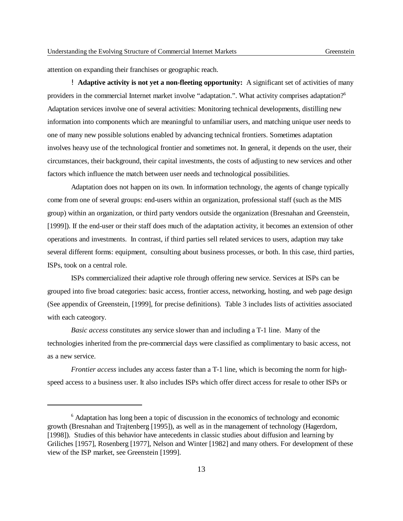attention on expanding their franchises or geographic reach.

! **Adaptive activity is not yet a non-fleeting opportunity:** A significant set of activities of many providers in the commercial Internet market involve "adaptation.". What activity comprises adaptation?<sup>6</sup> Adaptation services involve one of several activities: Monitoring technical developments, distilling new information into components which are meaningful to unfamiliar users, and matching unique user needs to one of many new possible solutions enabled by advancing technical frontiers. Sometimes adaptation involves heavy use of the technological frontier and sometimes not. In general, it depends on the user, their circumstances, their background, their capital investments, the costs of adjusting to new services and other factors which influence the match between user needs and technological possibilities.

Adaptation does not happen on its own. In information technology, the agents of change typically come from one of several groups: end-users within an organization, professional staff (such as the MIS group) within an organization, or third party vendors outside the organization (Bresnahan and Greenstein, [1999]). If the end-user or their staff does much of the adaptation activity, it becomes an extension of other operations and investments. In contrast, if third parties sell related services to users, adaption may take several different forms: equipment, consulting about business processes, or both. In this case, third parties, ISPs, took on a central role.

ISPs commercialized their adaptive role through offering new service. Services at ISPs can be grouped into five broad categories: basic access, frontier access, networking, hosting, and web page design (See appendix of Greenstein, [1999], for precise definitions). Table 3 includes lists of activities associated with each cateogory.

*Basic access* constitutes any service slower than and including a T-1 line. Many of the technologies inherited from the pre-commercial days were classified as complimentary to basic access, not as a new service.

*Frontier access* includes any access faster than a T-1 line, which is becoming the norm for highspeed access to a business user. It also includes ISPs which offer direct access for resale to other ISPs or

<sup>&</sup>lt;sup>6</sup> Adaptation has long been a topic of discussion in the economics of technology and economic growth (Bresnahan and Trajtenberg [1995]), as well as in the management of technology (Hagerdorn, [1998]). Studies of this behavior have antecedents in classic studies about diffusion and learning by Griliches [1957], Rosenberg [1977], Nelson and Winter [1982] and many others. For development of these view of the ISP market, see Greenstein [1999].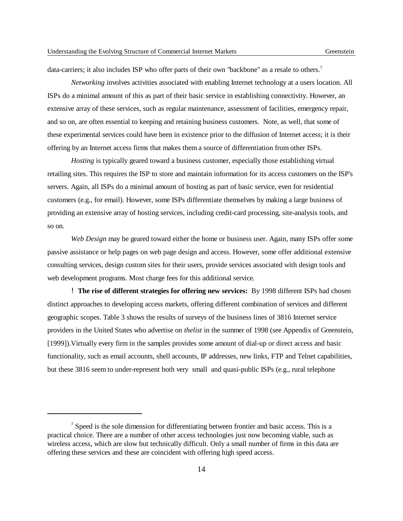data-carriers; it also includes ISP who offer parts of their own "backbone" as a resale to others.<sup>7</sup>

*Networking* involves activities associated with enabling Internet technology at a users location. All ISPs do a minimal amount of this as part of their basic service in establishing connectivity. However, an extensive array of these services, such as regular maintenance, assessment of facilities, emergency repair, and so on, are often essential to keeping and retaining business customers. Note, as well, that some of these experimental services could have been in existence prior to the diffusion of Internet access; it is their offering by an Internet access firms that makes them a source of differentiation from other ISPs.

*Hosting* is typically geared toward a business customer, especially those establishing virtual retailing sites. This requires the ISP to store and maintain information for its access customers on the ISP's servers. Again, all ISPs do a minimal amount of hosting as part of basic service, even for residential customers (e.g., for email). However, some ISPs differentiate themselves by making a large business of providing an extensive array of hosting services, including credit-card processing, site-analysis tools, and so on.

*Web Design* may be geared toward either the home or business user. Again, many ISPs offer some passive assistance or help pages on web page design and access. However, some offer additional extensive consulting services, design custom sites for their users, provide services associated with design tools and web development programs. Most charge fees for this additional service.

! **The rise of different strategies for offering new services:** By 1998 different ISPs had chosen distinct approaches to developing access markets, offering different combination of services and different geographic scopes. Table 3 shows the results of surveys of the business lines of 3816 Internet service providers in the United States who advertise on *thelist* in the summer of 1998 (see Appendix of Greenstein, [1999]).Virtually every firm in the samples provides some amount of dial-up or direct access and basic functionality, such as email accounts, shell accounts, IP addresses, new links, FTP and Telnet capabilities, but these 3816 seem to under-represent both very small and quasi-public ISPs (e.g., rural telephone

 $<sup>7</sup>$  Speed is the sole dimension for differentiating between frontier and basic access. This is a</sup> practical choice. There are a number of other access technologies just now becoming viable, such as wireless access, which are slow but technically difficult. Only a small number of firms in this data are offering these services and these are coincident with offering high speed access.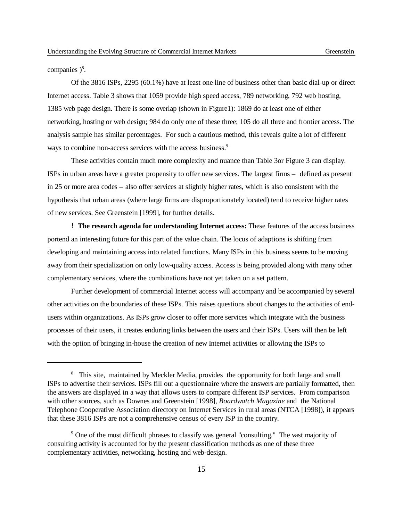companies  $)^8$ .

Of the 3816 ISPs, 2295 (60.1%) have at least one line of business other than basic dial-up or direct Internet access. Table 3 shows that 1059 provide high speed access, 789 networking, 792 web hosting, 1385 web page design. There is some overlap (shown in Figure1): 1869 do at least one of either networking, hosting or web design; 984 do only one of these three; 105 do all three and frontier access. The analysis sample has similar percentages. For such a cautious method, this reveals quite a lot of different ways to combine non-access services with the access business.<sup>9</sup>

These activities contain much more complexity and nuance than Table 3or Figure 3 can display. ISPs in urban areas have a greater propensity to offer new services. The largest firms – defined as present in 25 or more area codes – also offer services at slightly higher rates, which is also consistent with the hypothesis that urban areas (where large firms are disproportionately located) tend to receive higher rates of new services. See Greenstein [1999], for further details.

! **The research agenda for understanding Internet access:** These features of the access business portend an interesting future for this part of the value chain. The locus of adaptions is shifting from developing and maintaining access into related functions. Many ISPs in this business seems to be moving away from their specialization on only low-quality access. Access is being provided along with many other complementary services, where the combinations have not yet taken on a set pattern.

Further development of commercial Internet access will accompany and be accompanied by several other activities on the boundaries of these ISPs. This raises questions about changes to the activities of endusers within organizations. As ISPs grow closer to offer more services which integrate with the business processes of their users, it creates enduring links between the users and their ISPs. Users will then be left with the option of bringing in-house the creation of new Internet activities or allowing the ISPs to

<sup>&</sup>lt;sup>8</sup> This site, maintained by Meckler Media, provides the opportunity for both large and small ISPs to advertise their services. ISPs fill out a questionnaire where the answers are partially formatted, then the answers are displayed in a way that allows users to compare different ISP services. From comparison with other sources, such as Downes and Greenstein [1998], *Boardwatch Magazine* and the National Telephone Cooperative Association directory on Internet Services in rural areas (NTCA [1998]), it appears that these 3816 ISPs are not a comprehensive census of every ISP in the country.

<sup>&</sup>lt;sup>9</sup> One of the most difficult phrases to classify was general "consulting." The vast majority of consulting activity is accounted for by the present classification methods as one of these three complementary activities, networking, hosting and web-design.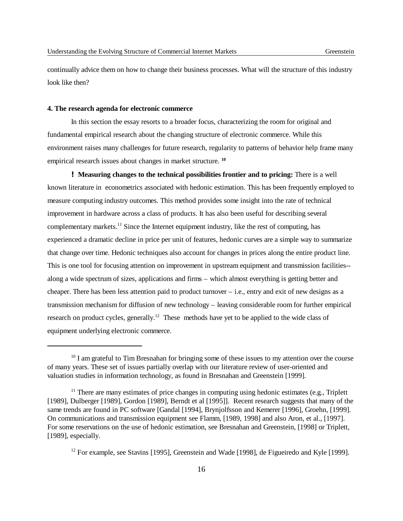continually advice them on how to change their business processes. What will the structure of this industry look like then?

#### **4. The research agenda for electronic commerce**

In this section the essay resorts to a broader focus, characterizing the room for original and fundamental empirical research about the changing structure of electronic commerce. While this environment raises many challenges for future research, regularity to patterns of behavior help frame many empirical research issues about changes in market structure. **<sup>10</sup>**

**! Measuring changes to the technical possibilities frontier and to pricing:** There is a well known literature in econometrics associated with hedonic estimation. This has been frequently employed to measure computing industry outcomes. This method provides some insight into the rate of technical improvement in hardware across a class of products. It has also been useful for describing several complementary markets.<sup>11</sup> Since the Internet equipment industry, like the rest of computing, has experienced a dramatic decline in price per unit of features, hedonic curves are a simple way to summarize that change over time. Hedonic techniques also account for changes in prices along the entire product line. This is one tool for focusing attention on improvement in upstream equipment and transmission facilities- along a wide spectrum of sizes, applications and firms – which almost everything is getting better and cheaper. There has been less attention paid to product turnover  $-$  i.e., entry and exit of new designs as a transmission mechanism for diffusion of new technology – leaving considerable room for further empirical research on product cycles, generally.<sup>12</sup> These methods have yet to be applied to the wide class of equipment underlying electronic commerce.

 $10$  I am grateful to Tim Bresnahan for bringing some of these issues to my attention over the course of many years. These set of issues partially overlap with our literature review of user-oriented and valuation studies in information technology, as found in Bresnahan and Greenstein [1999].

 $11$  There are many estimates of price changes in computing using hedonic estimates (e.g., Triplett [1989], Dulberger [1989], Gordon [1989], Berndt et al [1995]]. Recent research suggests that many of the same trends are found in PC software [Gandal [1994], Brynjolfsson and Kemerer [1996], Groehn, [1999]. On communications and transmission equipment see Flamm, [1989, 1998] and also Aron, et al., [1997]. For some reservations on the use of hedonic estimation, see Bresnahan and Greenstein, [1998] or Triplett, [1989], especially.

<sup>&</sup>lt;sup>12</sup> For example, see Stavins [1995], Greenstein and Wade [1998], de Figueiredo and Kyle [1999].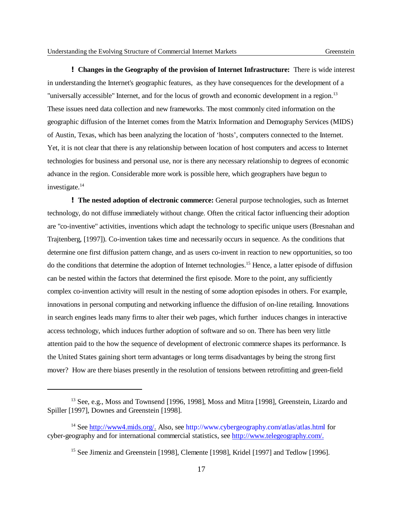**! Changes in the Geography of the provision of Internet Infrastructure:** There is wide interest in understanding the Internet's geographic features, as they have consequences for the development of a "universally accessible" Internet, and for the locus of growth and economic development in a region.<sup>13</sup> These issues need data collection and new frameworks. The most commonly cited information on the geographic diffusion of the Internet comes from the Matrix Information and Demography Services (MIDS) of Austin, Texas, which has been analyzing the location of 'hosts', computers connected to the Internet. Yet, it is not clear that there is any relationship between location of host computers and access to Internet technologies for business and personal use, nor is there any necessary relationship to degrees of economic advance in the region. Considerable more work is possible here, which geographers have begun to investigate.<sup>14</sup>

**! The nested adoption of electronic commerce:** General purpose technologies, such as Internet technology, do not diffuse immediately without change. Often the critical factor influencing their adoption are "co-inventive" activities, inventions which adapt the technology to specific unique users (Bresnahan and Trajtenberg, [1997]). Co-invention takes time and necessarily occurs in sequence. As the conditions that determine one first diffusion pattern change, and as users co-invent in reaction to new opportunities, so too do the conditions that determine the adoption of Internet technologies.<sup>15</sup> Hence, a latter episode of diffusion can be nested within the factors that determined the first episode. More to the point, any sufficiently complex co-invention activity will result in the nesting of some adoption episodes in others. For example, innovations in personal computing and networking influence the diffusion of on-line retailing. Innovations in search engines leads many firms to alter their web pages, which further induces changes in interactive access technology, which induces further adoption of software and so on. There has been very little attention paid to the how the sequence of development of electronic commerce shapes its performance. Is the United States gaining short term advantages or long terms disadvantages by being the strong first mover? How are there biases presently in the resolution of tensions between retrofitting and green-field

<sup>&</sup>lt;sup>13</sup> See, e.g., Moss and Townsend [1996, 1998], Moss and Mitra [1998], Greenstein, Lizardo and Spiller [1997], Downes and Greenstein [1998].

<sup>&</sup>lt;sup>14</sup> See http://www4.mids.org/. Also, see http://www.cybergeography.com/atlas/atlas.html for cyber-geography and for international commercial statistics, see http://www.telegeography.com/.

<sup>&</sup>lt;sup>15</sup> See Jimeniz and Greenstein [1998], Clemente [1998], Kridel [1997] and Tedlow [1996].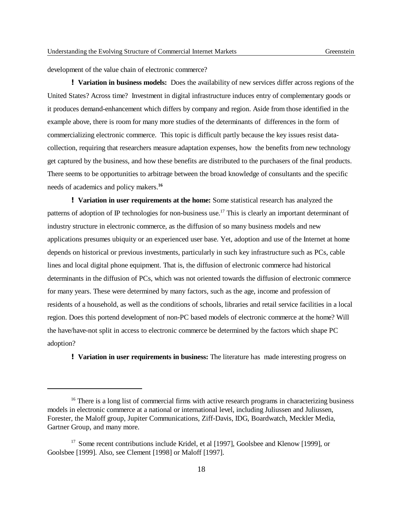development of the value chain of electronic commerce?

**! Variation in business models:** Does the availability of new services differ across regions of the United States? Across time? Investment in digital infrastructure induces entry of complementary goods or it produces demand-enhancement which differs by company and region. Aside from those identified in the example above, there is room for many more studies of the determinants of differences in the form of commercializing electronic commerce. This topic is difficult partly because the key issues resist datacollection, requiring that researchers measure adaptation expenses, how the benefits from new technology get captured by the business, and how these benefits are distributed to the purchasers of the final products. There seems to be opportunities to arbitrage between the broad knowledge of consultants and the specific needs of academics and policy makers.**<sup>16</sup>**

**! Variation in user requirements at the home:** Some statistical research has analyzed the patterns of adoption of IP technologies for non-business use.<sup>17</sup> This is clearly an important determinant of industry structure in electronic commerce, as the diffusion of so many business models and new applications presumes ubiquity or an experienced user base. Yet, adoption and use of the Internet at home depends on historical or previous investments, particularly in such key infrastructure such as PCs, cable lines and local digital phone equipment. That is, the diffusion of electronic commerce had historical determinants in the diffusion of PCs, which was not oriented towards the diffusion of electronic commerce for many years. These were determined by many factors, such as the age, income and profession of residents of a household, as well as the conditions of schools, libraries and retail service facilities in a local region. Does this portend development of non-PC based models of electronic commerce at the home? Will the have/have-not split in access to electronic commerce be determined by the factors which shape PC adoption?

**! Variation in user requirements in business:** The literature has made interesting progress on

<sup>&</sup>lt;sup>16</sup> There is a long list of commercial firms with active research programs in characterizing business models in electronic commerce at a national or international level, including Juliussen and Juliussen, Forester, the Maloff group, Jupiter Communications, Ziff-Davis, IDG, Boardwatch, Meckler Media, Gartner Group, and many more.

<sup>&</sup>lt;sup>17</sup> Some recent contributions include Kridel, et al [1997], Goolsbee and Klenow [1999], or Goolsbee [1999]. Also, see Clement [1998] or Maloff [1997].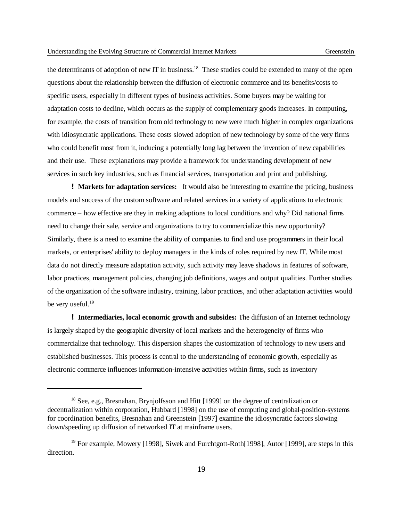the determinants of adoption of new  $IT$  in business.<sup>18</sup> These studies could be extended to many of the open questions about the relationship between the diffusion of electronic commerce and its benefits/costs to specific users, especially in different types of business activities. Some buyers may be waiting for adaptation costs to decline, which occurs as the supply of complementary goods increases. In computing, for example, the costs of transition from old technology to new were much higher in complex organizations with idiosyncratic applications. These costs slowed adoption of new technology by some of the very firms who could benefit most from it, inducing a potentially long lag between the invention of new capabilities and their use. These explanations may provide a framework for understanding development of new services in such key industries, such as financial services, transportation and print and publishing.

**! Markets for adaptation services:** It would also be interesting to examine the pricing, business models and success of the custom software and related services in a variety of applications to electronic commerce – how effective are they in making adaptions to local conditions and why? Did national firms need to change their sale, service and organizations to try to commercialize this new opportunity? Similarly, there is a need to examine the ability of companies to find and use programmers in their local markets, or enterprises' ability to deploy managers in the kinds of roles required by new IT. While most data do not directly measure adaptation activity, such activity may leave shadows in features of software, labor practices, management policies, changing job definitions, wages and output qualities. Further studies of the organization of the software industry, training, labor practices, and other adaptation activities would be very useful.<sup>19</sup>

**! Intermediaries, local economic growth and subsides:** The diffusion of an Internet technology is largely shaped by the geographic diversity of local markets and the heterogeneity of firms who commercialize that technology. This dispersion shapes the customization of technology to new users and established businesses. This process is central to the understanding of economic growth, especially as electronic commerce influences information-intensive activities within firms, such as inventory

<sup>&</sup>lt;sup>18</sup> See, e.g., Bresnahan, Brynjolfsson and Hitt [1999] on the degree of centralization or decentralization within corporation, Hubbard [1998] on the use of computing and global-position-systems for coordination benefits, Bresnahan and Greenstein [1997] examine the idiosyncratic factors slowing down/speeding up diffusion of networked IT at mainframe users.

<sup>&</sup>lt;sup>19</sup> For example, Mowery [1998], Siwek and Furchtgott-Roth[1998], Autor [1999], are steps in this direction.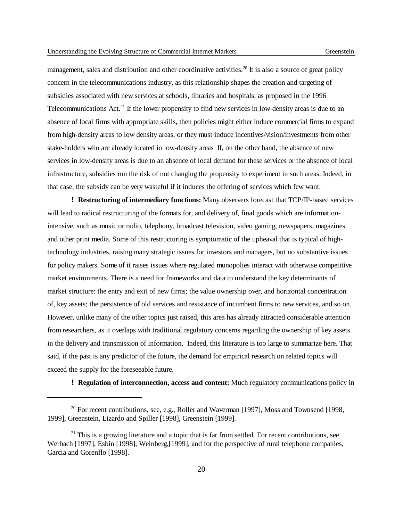management, sales and distribution and other coordinative activities.<sup>20</sup> It is also a source of great policy concern in the telecommunications industry, as this relationship shapes the creation and targeting of subsidies associated with new services at schools, libraries and hospitals, as proposed in the 1996 Telecommunications Act.<sup>21</sup> If the lower propensity to find new services in low-density areas is due to an absence of local firms with appropriate skills, then policies might either induce commercial firms to expand from high-density areas to low density areas, or they must induce incentives/vision/investments from other stake-holders who are already located in low-density areas If, on the other hand, the absence of new services in low-density areas is due to an absence of local demand for these services or the absence of local infrastructure, subsidies run the risk of not changing the propensity to experiment in such areas. Indeed, in that case, the subsidy can be very wasteful if it induces the offering of services which few want.

**! Restructuring of intermediary functions:** Many observers forecast that TCP/IP-based services will lead to radical restructuring of the formats for, and delivery of, final goods which are informationintensive, such as music or radio, telephony, broadcast television, video gaming, newspapers, magazines and other print media. Some of this restructuring is symptomatic of the upheaval that is typical of hightechnology industries, raising many strategic issues for investors and managers, but no substantive issues for policy makers. Some of it raises issues where regulated monopolies interact with otherwise competitive market environments. There is a need for frameworks and data to understand the key determinants of market structure: the entry and exit of new firms; the value ownership over, and horizontal concentration of, key assets; the persistence of old services and resistance of incumbent firms to new services, and so on. However, unlike many of the other topics just raised, this area has already attracted considerable attention from researchers, as it overlaps with traditional regulatory concerns regarding the ownership of key assets in the delivery and transmission of information. Indeed, this literature is too large to summarize here. That said, if the past is any predictor of the future, the demand for empirical research on related topics will exceed the supply for the foreseeable future.

**! Regulation of interconnection, access and content:** Much regulatory communications policy in

 $20$  For recent contributions, see, e.g., Roller and Waverman [1997], Moss and Townsend [1998, 1999], Greenstein, Lizardo and Spiller [1998], Greenstein [1999].

 $21$  This is a growing literature and a topic that is far from settled. For recent contributions, see Werbach [1997], Esbin [1998], Weinberg,[1999], and for the perspective of rural telephone companies, Garcia and Gorenflo [1998].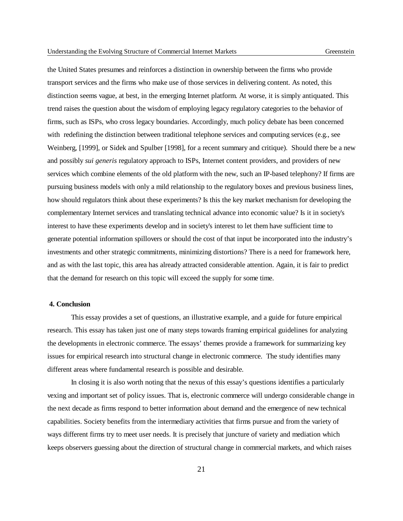the United States presumes and reinforces a distinction in ownership between the firms who provide transport services and the firms who make use of those services in delivering content. As noted, this distinction seems vague, at best, in the emerging Internet platform. At worse, it is simply antiquated. This trend raises the question about the wisdom of employing legacy regulatory categories to the behavior of firms, such as ISPs, who cross legacy boundaries. Accordingly, much policy debate has been concerned with redefining the distinction between traditional telephone services and computing services (e.g., see Weinberg, [1999], or Sidek and Spulber [1998], for a recent summary and critique). Should there be a new and possibly *sui generis* regulatory approach to ISPs, Internet content providers, and providers of new services which combine elements of the old platform with the new, such an IP-based telephony? If firms are pursuing business models with only a mild relationship to the regulatory boxes and previous business lines, how should regulators think about these experiments? Is this the key market mechanism for developing the complementary Internet services and translating technical advance into economic value? Is it in society's interest to have these experiments develop and in society's interest to let them have sufficient time to generate potential information spillovers or should the cost of that input be incorporated into the industry's investments and other strategic commitments, minimizing distortions? There is a need for framework here, and as with the last topic, this area has already attracted considerable attention. Again, it is fair to predict that the demand for research on this topic will exceed the supply for some time.

#### **4. Conclusion**

This essay provides a set of questions, an illustrative example, and a guide for future empirical research. This essay has taken just one of many steps towards framing empirical guidelines for analyzing the developments in electronic commerce. The essays' themes provide a framework for summarizing key issues for empirical research into structural change in electronic commerce. The study identifies many different areas where fundamental research is possible and desirable.

In closing it is also worth noting that the nexus of this essay's questions identifies a particularly vexing and important set of policy issues. That is, electronic commerce will undergo considerable change in the next decade as firms respond to better information about demand and the emergence of new technical capabilities. Society benefits from the intermediary activities that firms pursue and from the variety of ways different firms try to meet user needs. It is precisely that juncture of variety and mediation which keeps observers guessing about the direction of structural change in commercial markets, and which raises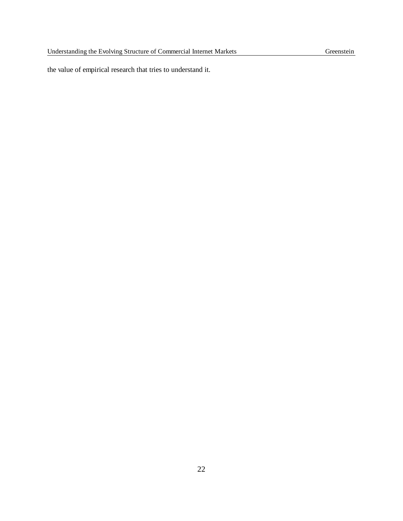the value of empirical research that tries to understand it.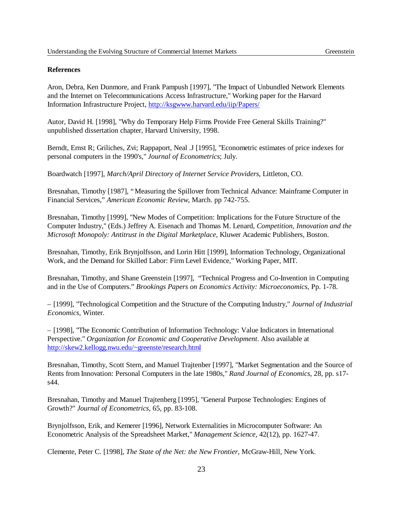#### **References**

Aron, Debra, Ken Dunmore, and Frank Pampush [1997], "The Impact of Unbundled Network Elements and the Internet on Telecommunications Access Infrastructure," Working paper for the Harvard Information Infrastructure Project, http://ksgwww.harvard.edu/iip/Papers/

Autor, David H. [1998], "Why do Temporary Help Firms Provide Free General Skills Training?" unpublished dissertation chapter, Harvard University, 1998.

Berndt, Ernst R; Griliches, Zvi; Rappaport, Neal .J [1995], "Econometric estimates of price indexes for personal computers in the 1990's," *Journal of Econometrics*; July.

Boardwatch [1997], *March/April Directory of Internet Service Providers*, Littleton, CO.

Bresnahan, Timothy [1987], "Measuring the Spillover from Technical Advance: Mainframe Computer in Financial Services," *American Economic Review*, March. pp 742-755.

Bresnahan, Timothy [1999], "New Modes of Competition: Implications for the Future Structure of the Computer Industry," (Eds.) Jeffrey A. Eisenach and Thomas M. Lenard, *Competition, Innovation and the Microsoft Monopoly: Antitrust in the Digital Marketplace,* Kluwer Academic Publishers, Boston.

Bresnahan, Timothy, Erik Brynjolfsson, and Lorin Hitt [1999], Information Technology, Organizational Work, and the Demand for Skilled Labor: Firm Level Evidence," Working Paper, MIT.

Bresnahan, Timothy, and Shane Greenstein [1997], "Technical Progress and Co-Invention in Computing and in the Use of Computers." *Brookings Papers on Economics Activity: Microeconomics*, Pp. 1-78.

– [1999], "Technological Competition and the Structure of the Computing Industry," *Journal of Industrial Economics,* Winter.

– [1998], "The Economic Contribution of Information Technology: Value Indicators in International Perspective." *Organization for Economic and Cooperative Development*. Also available at http://skew2.kellogg.nwu.edu/~greenste/research.html

Bresnahan, Timothy, Scott Stern, and Manuel Trajtenber [1997], "Market Segmentation and the Source of Rents from Innovation: Personal Computers in the late 1980s," *Rand Journal of Economics*, 28, pp. s17 s44.

Bresnahan, Timothy and Manuel Trajtenberg [1995], "General Purpose Technologies: Engines of Growth?" *Journal of Econometrics*, 65, pp. 83-108.

Brynjolfsson, Erik, and Kemerer [1996], Network Externalities in Microcomputer Software: An Econometric Analysis of the Spreadsheet Market," *Management Science,* 42(12), pp. 1627-47.

Clemente, Peter C. [1998], *The State of the Net: the New Frontier*, McGraw-Hill, New York.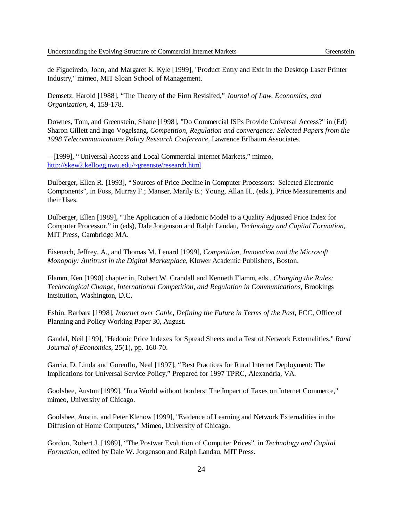de Figueiredo, John, and Margaret K. Kyle [1999], "Product Entry and Exit in the Desktop Laser Printer Industry," mimeo, MIT Sloan School of Management.

Demsetz, Harold [1988], "The Theory of the Firm Revisited," *Journal of Law, Economics, and Organization*, **4**, 159-178.

Downes, Tom, and Greenstein, Shane [1998], "Do Commercial ISPs Provide Universal Access?" in (Ed) Sharon Gillett and Ingo Vogelsang, *Competition, Regulation and convergence: Selected Papers from the 1998 Telecommunications Policy Research Conference,* Lawrence Erlbaum Associates.

– [1999], "Universal Access and Local Commercial Internet Markets," mimeo, http://skew2.kellogg.nwu.edu/~greenste/research.html

Dulberger, Ellen R. [1993], "Sources of Price Decline in Computer Processors: Selected Electronic Components", in Foss, Murray F.; Manser, Marily E.; Young, Allan H., (eds.), Price Measurements and their Uses.

Dulberger, Ellen [1989], "The Application of a Hedonic Model to a Quality Adjusted Price Index for Computer Processor," in (eds), Dale Jorgenson and Ralph Landau, *Technology and Capital Formation*, MIT Press, Cambridge MA.

Eisenach, Jeffrey, A., and Thomas M. Lenard [1999], *Competition, Innovation and the Microsoft Monopoly: Antitrust in the Digital Marketplace*, Kluwer Academic Publishers, Boston.

Flamm, Ken [1990] chapter in, Robert W. Crandall and Kenneth Flamm, eds., *Changing the Rules: Technological Change, International Competition, and Regulation in Communications,* Brookings Intsitution, Washington, D.C.

Esbin, Barbara [1998], *Internet over Cable, Defining the Future in Terms of the Past,* FCC, Office of Planning and Policy Working Paper 30, August.

Gandal, Neil [199], "Hedonic Price Indexes for Spread Sheets and a Test of Network Externalities," *Rand Journal of Economics,* 25(1), pp. 160-70.

Garcia, D. Linda and Gorenflo, Neal [1997], "Best Practices for Rural Internet Deployment: The Implications for Universal Service Policy," Prepared for 1997 TPRC, Alexandria, VA.

Goolsbee, Austun [1999], "In a World without borders: The Impact of Taxes on Internet Commerce," mimeo, University of Chicago.

Goolsbee, Austin, and Peter Klenow [1999], "Evidence of Learning and Network Externalities in the Diffusion of Home Computers," Mimeo, University of Chicago.

Gordon, Robert J. [1989], "The Postwar Evolution of Computer Prices", in *Technology and Capital Formation*, edited by Dale W. Jorgenson and Ralph Landau, MIT Press.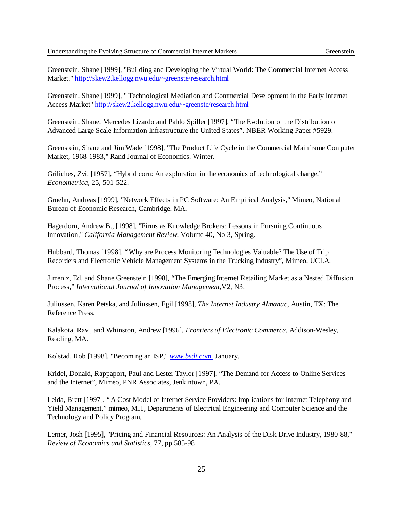Greenstein, Shane [1999], "Building and Developing the Virtual World: The Commercial Internet Access Market." http://skew2.kellogg.nwu.edu/~greenste/research.html

Greenstein, Shane [1999], " Technological Mediation and Commercial Development in the Early Internet Access Market" http://skew2.kellogg.nwu.edu/~greenste/research.html

Greenstein, Shane, Mercedes Lizardo and Pablo Spiller [1997], "The Evolution of the Distribution of Advanced Large Scale Information Infrastructure the United States". NBER Working Paper #5929.

Greenstein, Shane and Jim Wade [1998], "The Product Life Cycle in the Commercial Mainframe Computer Market, 1968-1983," Rand Journal of Economics. Winter.

Griliches, Zvi. [1957], "Hybrid corn: An exploration in the economics of technological change," *Econometrica*, 25, 501-522.

Groehn, Andreas [1999], "Network Effects in PC Software: An Empirical Analysis," Mimeo, National Bureau of Economic Research, Cambridge, MA.

Hagerdorn, Andrew B., [1998], "Firms as Knowledge Brokers: Lessons in Pursuing Continuous Innovation," *California Management Review*, Volume 40, No 3, Spring.

Hubbard, Thomas [1998], "Why are Process Monitoring Technologies Valuable? The Use of Trip Recorders and Electronic Vehicle Management Systems in the Trucking Industry", Mimeo, UCLA.

Jimeniz, Ed, and Shane Greenstein [1998], "The Emerging Internet Retailing Market as a Nested Diffusion Process," *International Journal of Innovation Management,*V2, N3.

Juliussen, Karen Petska, and Juliussen, Egil [1998], *The Internet Industry Almanac,* Austin, TX: The Reference Press.

Kalakota, Ravi, and Whinston, Andrew [1996], *Frontiers of Electronic Commerce,* Addison-Wesley, Reading, MA.

Kolstad, Rob [1998], "Becoming an ISP," *www.bsdi.com.* January.

Kridel, Donald, Rappaport, Paul and Lester Taylor [1997], "The Demand for Access to Online Services and the Internet", Mimeo, PNR Associates, Jenkintown, PA.

Leida, Brett [1997], "A Cost Model of Internet Service Providers: Implications for Internet Telephony and Yield Management," mimeo, MIT, Departments of Electrical Engineering and Computer Science and the Technology and Policy Program.

Lerner, Josh [1995], "Pricing and Financial Resources: An Analysis of the Disk Drive Industry, 1980-88," *Review of Economics and Statistics*, 77, pp 585-98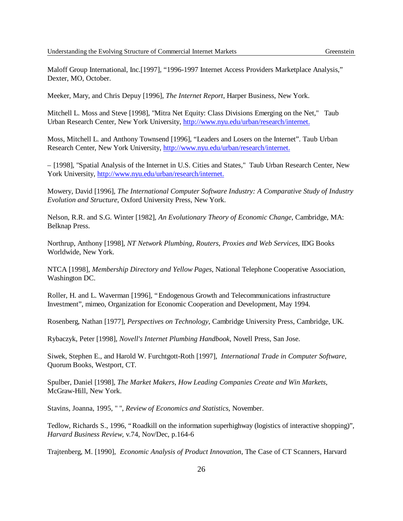Maloff Group International, Inc.[1997], "1996-1997 Internet Access Providers Marketplace Analysis," Dexter, MO, October.

Meeker, Mary, and Chris Depuy [1996], *The Internet Report*, Harper Business, New York.

Mitchell L. Moss and Steve [1998], "Mitra Net Equity: Class Divisions Emerging on the Net," Taub Urban Research Center, New York University, http://www.nyu.edu/urban/research/internet.

Moss, Mitchell L. and Anthony Townsend [1996], "Leaders and Losers on the Internet". Taub Urban Research Center, New York University, http://www.nyu.edu/urban/research/internet.

– [1998], "Spatial Analysis of the Internet in U.S. Cities and States," Taub Urban Research Center, New York University, http://www.nyu.edu/urban/research/internet.

Mowery, David [1996], *The International Computer Software Industry: A Comparative Study of Industry Evolution and Structure*, Oxford University Press, New York.

Nelson, R.R. and S.G. Winter [1982], *An Evolutionary Theory of Economic Change*, Cambridge, MA: Belknap Press.

Northrup, Anthony [1998], *NT Network Plumbing, Routers, Proxies and Web Services*, IDG Books Worldwide, New York.

NTCA [1998], *Membership Directory and Yellow Pages*, National Telephone Cooperative Association, Washington DC.

Roller, H. and L. Waverman [1996], "Endogenous Growth and Telecommunications infrastructure Investment", mimeo, Organization for Economic Cooperation and Development, May 1994.

Rosenberg, Nathan [1977], *Perspectives on Technology*, Cambridge University Press, Cambridge, UK.

Rybaczyk, Peter [1998], *Novell's Internet Plumbing Handbook*, Novell Press, San Jose.

Siwek, Stephen E., and Harold W. Furchtgott-Roth [1997], *International Trade in Computer Software*, Quorum Books, Westport, CT.

Spulber, Daniel [1998], *The Market Makers*, *How Leading Companies Create and Win Markets*, McGraw-Hill, New York.

Stavins, Joanna, 1995, " ", *Review of Economics and Statistics*, November.

Tedlow, Richards S., 1996, "Roadkill on the information superhighway (logistics of interactive shopping)", *Harvard Business Review,* v.74, Nov/Dec, p.164-6

Trajtenberg, M. [1990], *Economic Analysis of Product Innovation*, The Case of CT Scanners, Harvard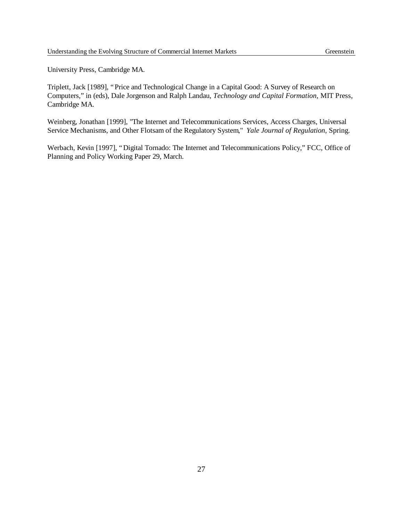University Press, Cambridge MA.

Triplett, Jack [1989], "Price and Technological Change in a Capital Good: A Survey of Research on Computers," in (eds), Dale Jorgenson and Ralph Landau, *Technology and Capital Formation,* MIT Press, Cambridge MA.

Weinberg, Jonathan [1999], "The Internet and Telecommunications Services, Access Charges, Universal Service Mechanisms, and Other Flotsam of the Regulatory System," *Yale Journal of Regulation*, Spring.

Werbach, Kevin [1997], "Digital Tornado: The Internet and Telecommunications Policy," FCC, Office of Planning and Policy Working Paper 29, March.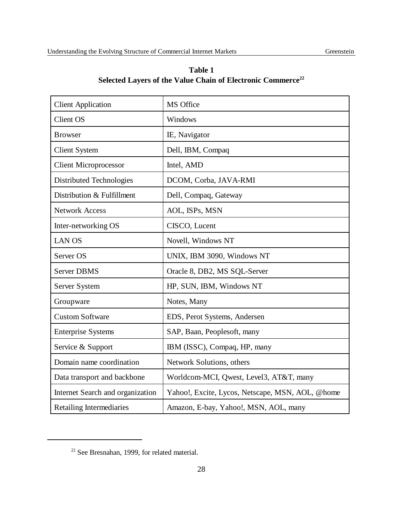| <b>Client Application</b>        | MS Office                                        |
|----------------------------------|--------------------------------------------------|
| Client OS                        | Windows                                          |
| <b>Browser</b>                   | IE, Navigator                                    |
| <b>Client System</b>             | Dell, IBM, Compaq                                |
| <b>Client Microprocessor</b>     | Intel, AMD                                       |
| Distributed Technologies         | DCOM, Corba, JAVA-RMI                            |
| Distribution & Fulfillment       | Dell, Compaq, Gateway                            |
| <b>Network Access</b>            | AOL, ISPs, MSN                                   |
| Inter-networking OS              | CISCO, Lucent                                    |
| <b>LAN OS</b>                    | Novell, Windows NT                               |
| Server OS                        | UNIX, IBM 3090, Windows NT                       |
| <b>Server DBMS</b>               | Oracle 8, DB2, MS SQL-Server                     |
| Server System                    | HP, SUN, IBM, Windows NT                         |
| Groupware                        | Notes, Many                                      |
| <b>Custom Software</b>           | EDS, Perot Systems, Andersen                     |
| <b>Enterprise Systems</b>        | SAP, Baan, Peoplesoft, many                      |
| Service & Support                | IBM (ISSC), Compaq, HP, many                     |
| Domain name coordination         | Network Solutions, others                        |
| Data transport and backbone      | Worldcom-MCI, Qwest, Level3, AT&T, many          |
| Internet Search and organization | Yahoo!, Excite, Lycos, Netscape, MSN, AOL, @home |
| Retailing Intermediaries         | Amazon, E-bay, Yahoo!, MSN, AOL, many            |

# **Table 1 Selected Layers of the Value Chain of Electronic Commerce<sup>22</sup>**

<sup>22</sup> See Bresnahan, 1999, for related material.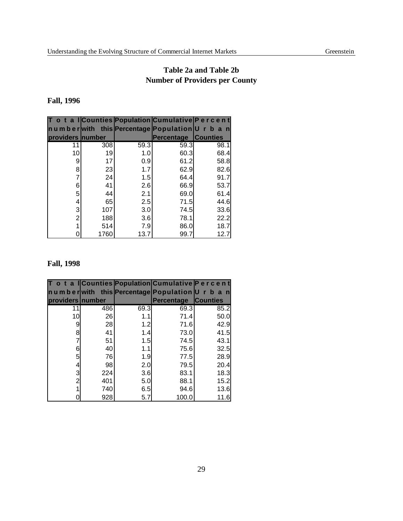# **Table 2a and Table 2b Number of Providers per County**

## **Fall, 1996**

|                  |      |      | T o t a ICounties Population Cumulative Percent |                 |
|------------------|------|------|-------------------------------------------------|-----------------|
|                  |      |      | numberwith this Percentage Population U r b a n |                 |
| providers number |      |      | Percentage                                      | <b>Counties</b> |
| 11               | 308  | 59.3 | 59.3                                            | 98.1            |
| 10               | 19   | 1.0  | 60.3                                            | 68.4            |
| 9                | 17   | 0.9  | 61.2                                            | 58.8            |
| 8                | 23   | 1.7  | 62.9                                            | 82.6            |
| 7                | 24   | 1.5  | 64.4                                            | 91.7            |
| 6                | 41   | 2.6  | 66.9                                            | 53.7            |
| 5                | 44   | 2.1  | 69.0                                            | 61.4            |
| 4                | 65   | 2.5  | 71.5                                            | 44.6            |
| 3                | 107  | 3.0  | 74.5                                            | 33.6            |
| $\overline{c}$   | 188  | 3.6  | 78.1                                            | 22.2            |
|                  | 514  | 7.9  | 86.0                                            | 18.7            |
|                  | 1760 | 13.7 | 99.7                                            | 12.7            |

## **Fall, 1998**

|                  |     |      | T o t a ICounties Population Cumulative Percent |                 |
|------------------|-----|------|-------------------------------------------------|-----------------|
|                  |     |      | numberwith this Percentage Population U r b a n |                 |
| providers number |     |      | <b>Percentage</b>                               | <b>Counties</b> |
|                  | 486 | 69.3 | 69.3                                            | 85.2            |
| 10               | 26  | 1.1  | 71.4                                            | 50.0            |
| 9                | 28  | 1.2  | 71.6                                            | 42.9            |
| 8                | 41  | 1.4  | 73.0                                            | 41.5            |
|                  | 51  | 1.5  | 74.5                                            | 43.1            |
| 6                | 40  | 1.1  | 75.6                                            | 32.5            |
| 5                | 76  | 1.9  | 77.5                                            | 28.9            |
| 4                | 98  | 2.0  | 79.5                                            | 20.4            |
| 3                | 224 | 3.6  | 83.1                                            | 18.3            |
| $\overline{2}$   | 401 | 5.0  | 88.1                                            | 15.2            |
|                  | 740 | 6.5  | 94.6                                            | 13.6            |
|                  | 928 | 5.7  | 100.0                                           | 11.6            |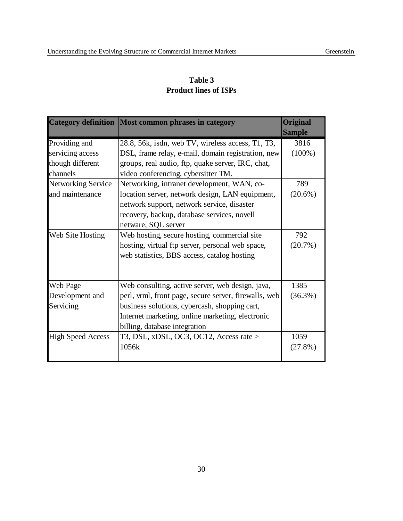# **Table 3 Product lines of ISPs**

|                           | Category definition Most common phrases in category             | <b>Original</b> |
|---------------------------|-----------------------------------------------------------------|-----------------|
|                           |                                                                 | <b>Sample</b>   |
| Providing and             | 28.8, 56k, isdn, web TV, wireless access, $\overline{11}$ , T3, | 3816            |
| servicing access          | DSL, frame relay, e-mail, domain registration, new              | $(100\%)$       |
| though different          | groups, real audio, ftp, quake server, IRC, chat,               |                 |
| channels                  | video conferencing, cybersitter TM.                             |                 |
| <b>Networking Service</b> | Networking, intranet development, WAN, co-                      | 789             |
| and maintenance           | location server, network design, LAN equipment,                 | $(20.6\%)$      |
|                           | network support, network service, disaster                      |                 |
|                           | recovery, backup, database services, novell                     |                 |
|                           | netware, SQL server                                             |                 |
| Web Site Hosting          | Web hosting, secure hosting, commercial site                    | 792             |
|                           | hosting, virtual ftp server, personal web space,                | (20.7%)         |
|                           | web statistics, BBS access, catalog hosting                     |                 |
|                           |                                                                 |                 |
|                           |                                                                 |                 |
| Web Page                  | Web consulting, active server, web design, java,                | 1385            |
| Development and           | perl, vrml, front page, secure server, firewalls, web           | $(36.3\%)$      |
| Servicing                 | business solutions, cybercash, shopping cart,                   |                 |
|                           | Internet marketing, online marketing, electronic                |                 |
|                           | billing, database integration                                   |                 |
| <b>High Speed Access</b>  | T3, DSL, xDSL, OC3, OC12, Access rate $>$                       | 1059            |
|                           | 1056k                                                           | (27.8%)         |
|                           |                                                                 |                 |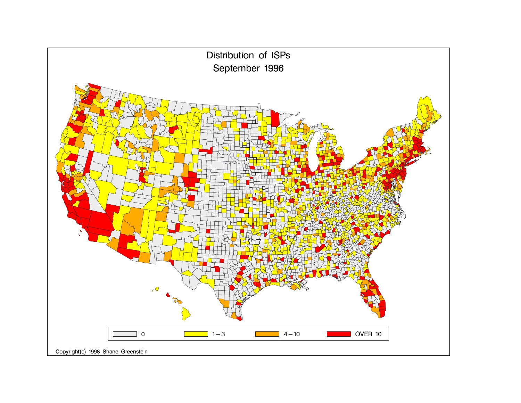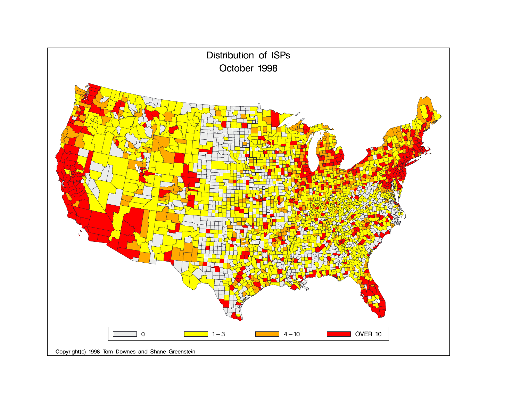